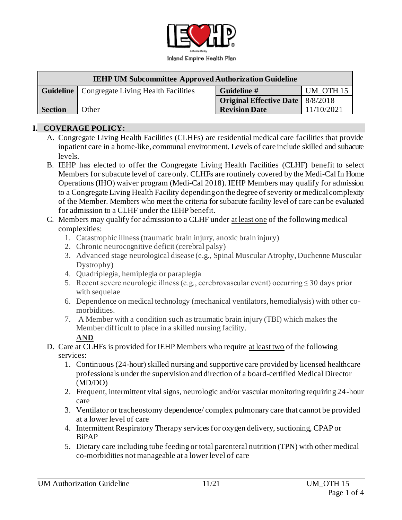

| <b>IEHP UM Subcommittee Approved Authorization Guideline</b> |                                                        |                                           |                      |
|--------------------------------------------------------------|--------------------------------------------------------|-------------------------------------------|----------------------|
|                                                              | <b>Guideline</b>   Congregate Living Health Facilities | Guideline #                               | UM OTH <sub>15</sub> |
|                                                              |                                                        | <b>Original Effective Date</b>   8/8/2018 |                      |
| <b>Section</b>                                               | Other                                                  | <b>Revision Date</b>                      | 11/10/2021           |

## **I. COVERAGE POLICY:**

- A. Congregate Living Health Facilities (CLHFs) are residential medical care facilities that provide inpatient care in a home-like, communal environment. Levels of care include skilled and subacute levels.
- B. IEHP has elected to offer the Congregate Living Health Facilities (CLHF) benefit to select Members for subacute level of care only. CLHFs are routinely covered by the Medi-Cal In Home Operations (IHO) waiver program (Medi-Cal 2018). IEHP Members may qualify for admission to a Congregate Living Health Facility depending on the degree of severity or medical complexity of the Member. Members who meet the criteria for subacute facility level of care can be evaluated for admission to a CLHF under the IEHP benefit.
- C. Members may qualify for admission to a CLHF under at least one of the following medical complexities:
	- 1. Catastrophic illness (traumatic brain injury, anoxic brain injury)
	- 2. Chronic neurocognitive deficit (cerebral palsy)
	- 3. Advanced stage neurological disease (e.g., Spinal Muscular Atrophy, Duchenne Muscular Dystrophy)
	- 4. Quadriplegia, hemiplegia or paraplegia
	- 5. Recent severe neurologic illness (e.g., cerebrovascular event) occurring  $\leq 30$  days prior with sequelae
	- 6. Dependence on medical technology (mechanical ventilators, hemodialysis) with other comorbidities.
	- 7. A Member with a condition such as traumatic brain injury (TBI) which makes the Member difficult to place in a skilled nursing facility.

#### **AND**

- D. Care at CLHFs is provided for IEHP Members who require at least two of the following services:
	- 1. Continuous (24-hour) skilled nursing and supportive care provided by licensed healthcare professionals under the supervision and direction of a board-certified Medical Director (MD/DO)
	- 2. Frequent, intermittent vital signs, neurologic and/or vascular monitoring requiring 24-hour care
	- 3. Ventilator or tracheostomy dependence/ complex pulmonary care that cannot be provided at a lower level of care
	- 4. Intermittent Respiratory Therapy services for oxygen delivery, suctioning, CPAP or BiPAP
	- 5. Dietary care including tube feeding or total parenteral nutrition (TPN) with other medical co-morbidities not manageable at a lower level of care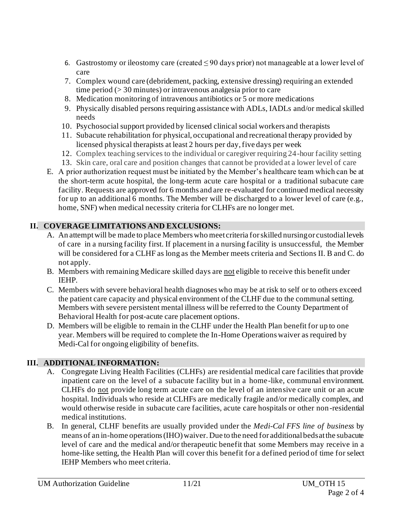- 6. Gastrostomy or ileostomy care (created  $\leq 90$  days prior) not manageable at a lower level of care
- 7. Complex wound care (debridement, packing, extensive dressing) requiring an extended time period (> 30 minutes) or intravenous analgesia prior to care
- 8. Medication monitoring of intravenous antibiotics or 5 or more medications
- 9. Physically disabled persons requiring assistance with ADLs, IADLs and/or medical skilled needs
- 10. Psychosocial support provided by licensed clinical social workers and therapists
- 11. Subacute rehabilitation for physical, occupational and recreational therapy provided by licensed physical therapists at least 2 hours per day, five days per week
- 12. Complex teaching services to the individual or caregiver requiring 24-hour facility setting
- 13. Skin care, oral care and position changes that cannot be provided at a lower level of care
- E. A prior authorization request must be initiated by the Member's healthcare team which can be at the short-term acute hospital, the long-term acute care hospital or a traditional subacute care facility. Requests are approved for 6 months and are re-evaluated for continued medical necessity for up to an additional 6 months. The Member will be discharged to a lower level of care (e.g., home, SNF) when medical necessity criteria for CLHFs are no longer met.

# **II. COVERAGE LIMITATIONS AND EXCLUSIONS:**

- A. An attempt will be made to place Members who meet criteria for skilled nursing or custodial levels of care in a nursing facility first. If placement in a nursing facility is unsuccessful, the Member will be considered for a CLHF as long as the Member meets criteria and Sections II. B and C. do not apply.
- B. Members with remaining Medicare skilled days are not eligible to receive this benefit under IEHP.
- C. Members with severe behavioral health diagnoses who may be at risk to self or to others exceed the patient care capacity and physical environment of the CLHF due to the communal setting. Members with severe persistent mental illness will be referred to the County Department of Behavioral Health for post-acute care placement options.
- D. Members will be eligible to remain in the CLHF under the Health Plan benefit for up to one year. Members will be required to complete the In-Home Operations waiver as required by Medi-Cal for ongoing eligibility of benefits.

# **III. ADDITIONAL INFORMATION:**

- A. Congregate Living Health Facilities (CLHFs) are residential medical care facilities that provide inpatient care on the level of a subacute facility but in a home-like, communal environment. CLHFs do not provide long term acute care on the level of an intensive care unit or an acute hospital. Individuals who reside at CLHFs are medically fragile and/or medically complex, and would otherwise reside in subacute care facilities, acute care hospitals or other non -residential medical institutions.
- B. In general, CLHF benefits are usually provided under the *Medi-Cal FFS line of business* by means of an in-home operations (IHO) waiver. Due to the need for additional beds at the subacute level of care and the medical and/or therapeutic benefit that some Members may receive in a home-like setting, the Health Plan will cover this benefit for a defined period of time for select IEHP Members who meet criteria.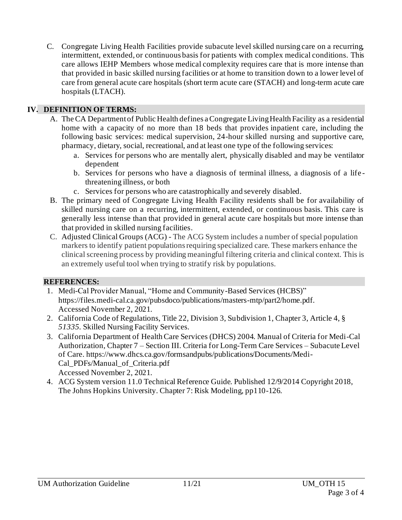C. Congregate Living Health Facilities provide subacute level skilled nursing care on a recurring, intermittent, extended, or continuous basis for patients with complex medical conditions. This care allows IEHP Members whose medical complexity requires care that is more intense than that provided in basic skilled nursing facilities or at home to transition down to a lower level of care from general acute care hospitals (short term acute care (STACH) and long-term acute care hospitals (LTACH).

### **IV. DEFINITION OF TERMS:**

- A. The CA Department of Public Health defines a Congregate Living Health Facility as a residential home with a capacity of no more than 18 beds that provides inpatient care, including the following basic services: medical supervision, 24-hour skilled nursing and supportive care, pharmacy, dietary, social, recreational, and at least one type of the following services:
	- a. Services for persons who are mentally alert, physically disabled and may be ventilator dependent
	- b. Services for persons who have a diagnosis of terminal illness, a diagnosis of a life threatening illness, or both
	- c. Services for persons who are catastrophically and severely disabled.
- B. The primary need of Congregate Living Health Facility residents shall be for availability of skilled nursing care on a recurring, intermittent, extended, or continuous basis. This care is generally less intense than that provided in general acute care hospitals but more intense than that provided in skilled nursing facilities.
- C. Adjusted Clinical Groups (ACG) The ACG System includes a number of special population markers to identify patient populations requiring specialized care. These markers enhance the clinical screening process by providing meaningful filtering criteria and clinical context. This is an extremely useful tool when trying to stratify risk by populations.

## **REFERENCES:**

- 1. Medi-Cal Provider Manual, "Home and Community-Based Services (HCBS)" <https://files.medi-cal.ca.gov/pubsdoco/publications/masters-mtp/part2/home.pdf>. Accessed November 2, 2021.
- 2. California Code of Regulations, Title 22, Division 3, Subdivision 1, Chapter 3, Article 4, § *51335.* Skilled Nursing Facility Services.
- 3. California Department of Health Care Services (DHCS) 2004. Manual of Criteria for Medi-Cal Authorization, Chapter 7 – Section III. Criteria for Long-Term Care Services – Subacute Level of Care. https://www.dhcs.ca.gov/formsandpubs/publications/Documents/Medi-Cal\_PDFs/Manual\_of\_Criteria.pdf Accessed November 2, 2021.
- 4. ACG System version 11.0 Technical Reference Guide. Published 12/9/2014 Copyright 2018, The Johns Hopkins University. Chapter 7: Risk Modeling, pp110-126.